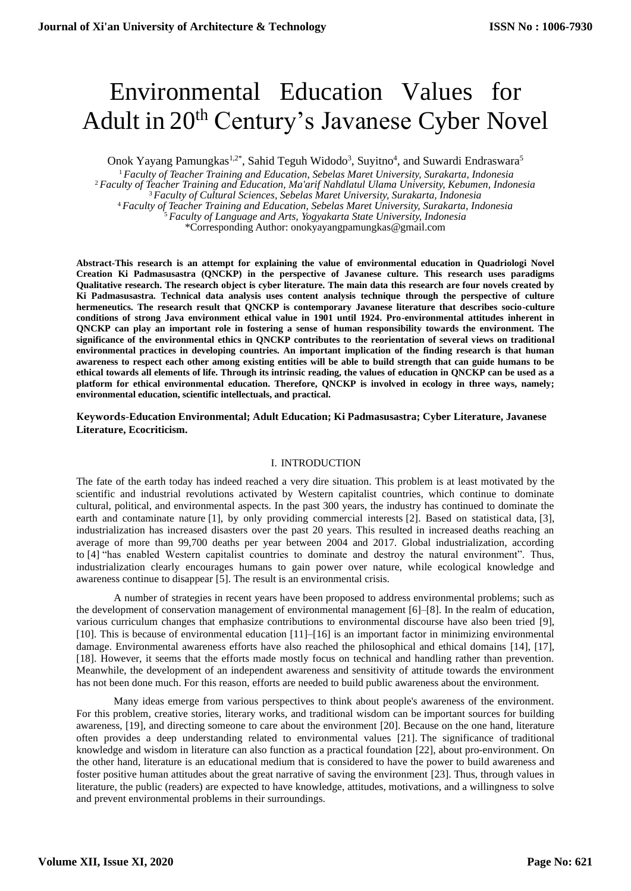# Environmental Education Values for Adult in 20<sup>th</sup> Century's Javanese Cyber Novel

Onok Yayang Pamungkas<sup>1,2\*</sup>, Sahid Teguh Widodo<sup>3</sup>, Suyitno<sup>4</sup>, and Suwardi Endraswara<sup>5</sup>

 *Faculty of Teacher Training and Education, Sebelas Maret University, Surakarta, Indonesia Faculty of Teacher Training and Education, Ma'arif Nahdlatul Ulama University, Kebumen, Indonesia Faculty of Cultural Sciences, Sebelas Maret University, Surakarta, Indonesia Faculty of Teacher Training and Education, Sebelas Maret University, Surakarta, Indonesia Faculty of Language and Arts, Yogyakarta State University, Indonesia* \*Corresponding Author: onokyayangpamungkas@gmail.com

**Abstract-This research is an attempt for explaining the value of environmental education in Quadriologi Novel Creation Ki Padmasusastra (QNCKP) in the perspective of Javanese culture. This research uses paradigms Qualitative research. The research object is cyber literature. The main data this research are four novels created by Ki Padmasusastra. Technical data analysis uses content analysis technique through the perspective of culture hermeneutics. The research result that QNCKP is contemporary Javanese literature that describes socio-culture conditions of strong Java environment ethical value in 1901 until 1924. Pro-environmental attitudes inherent in QNCKP can play an important role in fostering a sense of human responsibility towards the environment. The significance of the environmental ethics in QNCKP contributes to the reorientation of several views on traditional environmental practices in developing countries. An important implication of the finding research is that human awareness to respect each other among existing entities will be able to build strength that can guide humans to be ethical towards all elements of life. Through its intrinsic reading, the values of education in QNCKP can be used as a platform for ethical environmental education. Therefore, QNCKP is involved in ecology in three ways, namely; environmental education, scientific intellectuals, and practical.**

### **Keywords-Education Environmental; Adult Education; Ki Padmasusastra; Cyber Literature, Javanese Literature, Ecocriticism.**

#### I. INTRODUCTION

The fate of the earth today has indeed reached a very dire situation. This problem is at least motivated by the scientific and industrial revolutions activated by Western capitalist countries, which continue to dominate cultural, political, and environmental aspects. In the past 300 years, the industry has continued to dominate the earth and contaminate nature [1], by only providing commercial interests [2]. Based on statistical data, [3], industrialization has increased disasters over the past 20 years. This resulted in increased deaths reaching an average of more than 99,700 deaths per year between 2004 and 2017. Global industrialization, according to [4] "has enabled Western capitalist countries to dominate and destroy the natural environment". Thus, industrialization clearly encourages humans to gain power over nature, while ecological knowledge and awareness continue to disappear [5]. The result is an environmental crisis.

A number of strategies in recent years have been proposed to address environmental problems; such as the development of conservation management of environmental management [6]–[8]. In the realm of education, various curriculum changes that emphasize contributions to environmental discourse have also been tried [9], [10]. This is because of environmental education [11]–[16] is an important factor in minimizing environmental damage. Environmental awareness efforts have also reached the philosophical and ethical domains [14], [17], [18]. However, it seems that the efforts made mostly focus on technical and handling rather than prevention. Meanwhile, the development of an independent awareness and sensitivity of attitude towards the environment has not been done much. For this reason, efforts are needed to build public awareness about the environment.

Many ideas emerge from various perspectives to think about people's awareness of the environment. For this problem, creative stories, literary works, and traditional wisdom can be important sources for building awareness, [19], and directing someone to care about the environment [20]. Because on the one hand, literature often provides a deep understanding related to environmental values [21]. The significance of traditional knowledge and wisdom in literature can also function as a practical foundation [22], about pro-environment. On the other hand, literature is an educational medium that is considered to have the power to build awareness and foster positive human attitudes about the great narrative of saving the environment [23]. Thus, through values in literature, the public (readers) are expected to have knowledge, attitudes, motivations, and a willingness to solve and prevent environmental problems in their surroundings.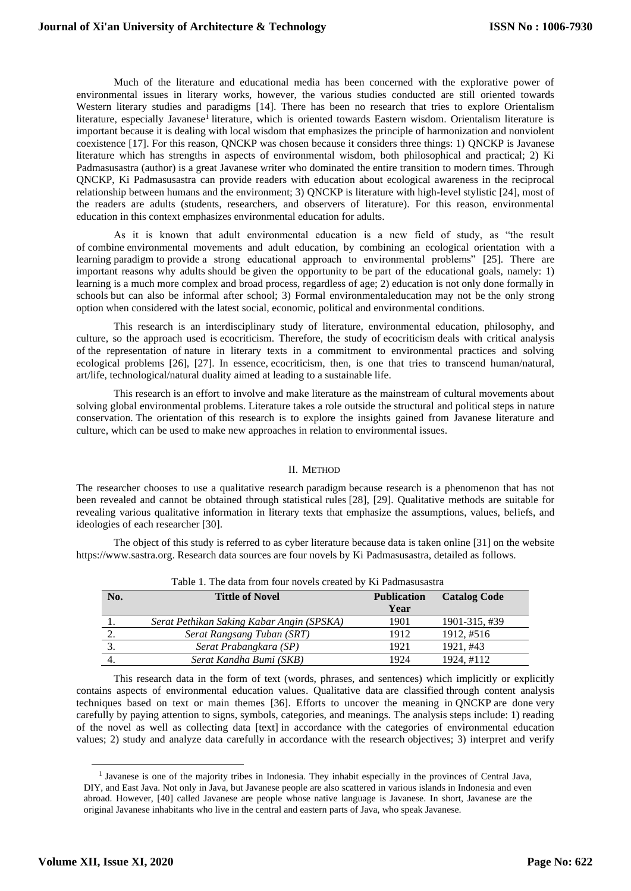Much of the literature and educational media has been concerned with the explorative power of environmental issues in literary works, however, the various studies conducted are still oriented towards Western literary studies and paradigms [14]. There has been no research that tries to explore Orientalism literature, especially Javanese<sup>1</sup> literature, which is oriented towards Eastern wisdom. Orientalism literature is important because it is dealing with local wisdom that emphasizes the principle of harmonization and nonviolent coexistence [17]. For this reason, QNCKP was chosen because it considers three things: 1) QNCKP is Javanese literature which has strengths in aspects of environmental wisdom, both philosophical and practical; 2) Ki Padmasusastra (author) is a great Javanese writer who dominated the entire transition to modern times. Through QNCKP, Ki Padmasusastra can provide readers with education about ecological awareness in the reciprocal relationship between humans and the environment; 3) QNCKP is literature with high-level stylistic [24], most of the readers are adults (students, researchers, and observers of literature). For this reason, environmental education in this context emphasizes environmental education for adults.

As it is known that adult environmental education is a new field of study, as "the result of combine environmental movements and adult education, by combining an ecological orientation with a learning paradigm to provide a strong educational approach to environmental problems" [25]. There are important reasons why adults should be given the opportunity to be part of the educational goals, namely: 1) learning is a much more complex and broad process, regardless of age; 2) education is not only done formally in schools but can also be informal after school; 3) Formal environmentaleducation may not be the only strong option when considered with the latest social, economic, political and environmental conditions.

This research is an interdisciplinary study of literature, environmental education, philosophy, and culture, so the approach used is ecocriticism. Therefore, the study of ecocriticism deals with critical analysis of the representation of nature in literary texts in a commitment to environmental practices and solving ecological problems [26], [27]. In essence, ecocriticism, then, is one that tries to transcend human/natural, art/life, technological/natural duality aimed at leading to a sustainable life.

This research is an effort to involve and make literature as the mainstream of cultural movements about solving global environmental problems. Literature takes a role outside the structural and political steps in nature conservation. The orientation of this research is to explore the insights gained from Javanese literature and culture, which can be used to make new approaches in relation to environmental issues.

#### II. METHOD

The researcher chooses to use a qualitative research paradigm because research is a phenomenon that has not been revealed and cannot be obtained through statistical rules [28], [29]. Qualitative methods are suitable for revealing various qualitative information in literary texts that emphasize the assumptions, values, beliefs, and ideologies of each researcher [30].

The object of this study is referred to as cyber literature because data is taken online [31] on the website https://www.sastra.org. Research data sources are four novels by Ki Padmasusastra, detailed as follows.

| No. | <b>Tittle of Novel</b>                    | <b>Publication</b><br>Year | <b>Catalog Code</b> |
|-----|-------------------------------------------|----------------------------|---------------------|
|     | Serat Pethikan Saking Kabar Angin (SPSKA) | 1901                       | 1901-315, #39       |
| 2.  | Serat Rangsang Tuban (SRT)                | 1912                       | 1912, #516          |
|     | Serat Prabangkara (SP)                    | 1921                       | 1921, #43           |
|     | Serat Kandha Bumi (SKB)                   | 1924                       | 1924, #112          |

Table 1. The data from four novels created by Ki Padmasusastra

This research data in the form of text (words, phrases, and sentences) which implicitly or explicitly contains aspects of environmental education values. Qualitative data are classified through content analysis techniques based on text or main themes [36]. Efforts to uncover the meaning in QNCKP are done very carefully by paying attention to signs, symbols, categories, and meanings. The analysis steps include: 1) reading of the novel as well as collecting data [text] in accordance with the categories of environmental education values; 2) study and analyze data carefully in accordance with the research objectives; 3) interpret and verify

<sup>&</sup>lt;sup>1</sup> Javanese is one of the majority tribes in Indonesia. They inhabit especially in the provinces of Central Java, DIY, and East Java. Not only in Java, but Javanese people are also scattered in various islands in Indonesia and even abroad. However, [40] called Javanese are people whose native language is Javanese. In short, Javanese are the original Javanese inhabitants who live in the central and eastern parts of Java, who speak Javanese.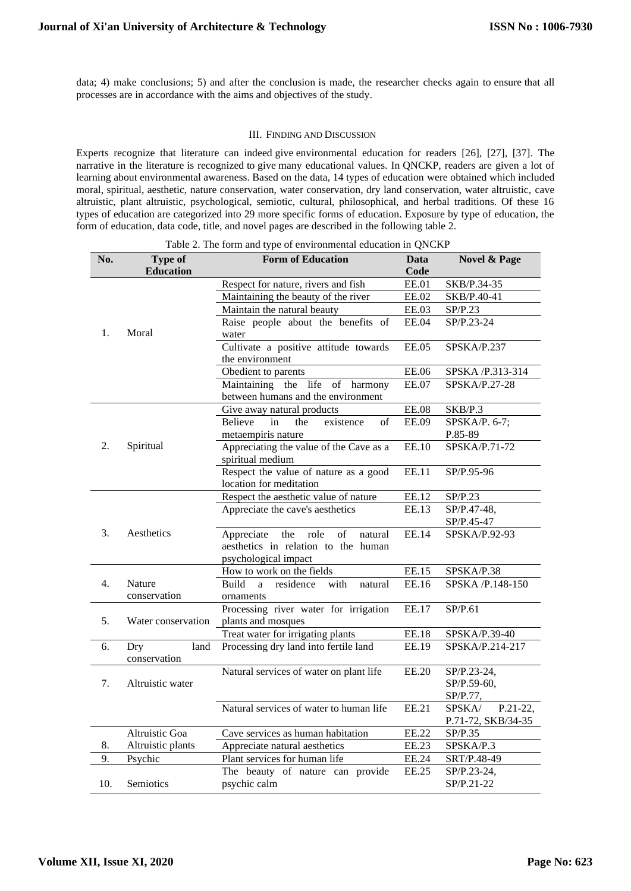data; 4) make conclusions; 5) and after the conclusion is made, the researcher checks again to ensure that all processes are in accordance with the aims and objectives of the study.

#### III. FINDING AND DISCUSSION

Experts recognize that literature can indeed give environmental education for readers [26], [27], [37]. The narrative in the literature is recognized to give many educational values. In QNCKP, readers are given a lot of learning about environmental awareness. Based on the data, 14 types of education were obtained which included moral, spiritual, aesthetic, nature conservation, water conservation, dry land conservation, water altruistic, cave altruistic, plant altruistic, psychological, semiotic, cultural, philosophical, and herbal traditions. Of these 16 types of education are categorized into 29 more specific forms of education. Exposure by type of education, the form of education, data code, title, and novel pages are described in the following table 2.

| No. | <b>Type of</b>              | <b>Form of Education</b>                                    | <b>Data</b>  | Novel & Page                             |
|-----|-----------------------------|-------------------------------------------------------------|--------------|------------------------------------------|
|     | <b>Education</b>            |                                                             | Code         |                                          |
|     |                             | Respect for nature, rivers and fish                         | <b>EE.01</b> | SKB/P.34-35                              |
|     |                             | Maintaining the beauty of the river                         | EE.02        | SKB/P.40-41                              |
|     |                             | Maintain the natural beauty                                 | EE.03        | SP/P.23                                  |
| 1.  | Moral                       | Raise people about the benefits of<br>water                 | <b>EE.04</b> | SP/P.23-24                               |
|     |                             | Cultivate a positive attitude towards<br>the environment    | <b>EE.05</b> | SPSKA/P.237                              |
|     |                             | Obedient to parents                                         | <b>EE.06</b> | SPSKA /P.313-314                         |
|     |                             | Maintaining the life of harmony                             | <b>EE.07</b> | SPSKA/P.27-28                            |
|     |                             | between humans and the environment                          |              |                                          |
|     |                             | Give away natural products                                  | <b>EE.08</b> | SKB/P.3                                  |
|     |                             | <b>Believe</b><br>in<br>existence<br>of<br>the              | <b>EE.09</b> | SPSKA/P. 6-7;                            |
|     |                             | metaempiris nature                                          |              | P.85-89                                  |
| 2.  | Spiritual                   | Appreciating the value of the Cave as a<br>spiritual medium | <b>EE.10</b> | SPSKA/P.71-72                            |
|     |                             | Respect the value of nature as a good                       | <b>EE.11</b> | SP/P.95-96                               |
|     |                             | location for meditation                                     |              |                                          |
|     |                             | Respect the aesthetic value of nature                       | EE.12        | SP/P.23                                  |
|     |                             | Appreciate the cave's aesthetics                            | EE.13        | SP/P.47-48,                              |
|     |                             |                                                             |              | SP/P.45-47                               |
| 3.  | Aesthetics                  | role<br>of<br>Appreciate<br>the<br>natural                  | EE.14        | SPSKA/P.92-93                            |
|     |                             | aesthetics in relation to the human                         |              |                                          |
|     |                             | psychological impact                                        |              |                                          |
|     |                             | How to work on the fields                                   | EE.15        | SPSKA/P.38                               |
| 4.  | Nature<br>conservation      | residence<br>with<br>Build<br>natural<br>a<br>ornaments     | EE.16        | SPSKA /P.148-150                         |
|     |                             | Processing river water for irrigation                       | <b>EE.17</b> | SP/P.61                                  |
| 5.  | Water conservation          | plants and mosques                                          |              |                                          |
|     |                             | Treat water for irrigating plants                           | <b>EE.18</b> | SPSKA/P.39-40                            |
| 6.  | Dry<br>land<br>conservation | Processing dry land into fertile land                       | EE.19        | SPSKA/P.214-217                          |
|     |                             | Natural services of water on plant life                     | <b>EE.20</b> | SP/P.23-24,                              |
| 7.  | Altruistic water            |                                                             |              | SP/P.59-60,                              |
|     |                             |                                                             |              | SP/P.77,                                 |
|     |                             | Natural services of water to human life                     | EE.21        | SPSKA/<br>P.21-22,<br>P.71-72, SKB/34-35 |
|     | Altruistic Goa              | Cave services as human habitation                           | <b>EE.22</b> | SP/P.35                                  |
| 8.  | Altruistic plants           | Appreciate natural aesthetics                               | EE.23        | SPSKA/P.3                                |
| 9.  | Psychic                     | Plant services for human life                               | <b>EE.24</b> | SRT/P.48-49                              |
|     |                             | The beauty of nature can provide                            | <b>EE.25</b> | SP/P.23-24,                              |
| 10. | Semiotics                   | psychic calm                                                |              | SP/P.21-22                               |

Table 2. The form and type of environmental education in QNCKP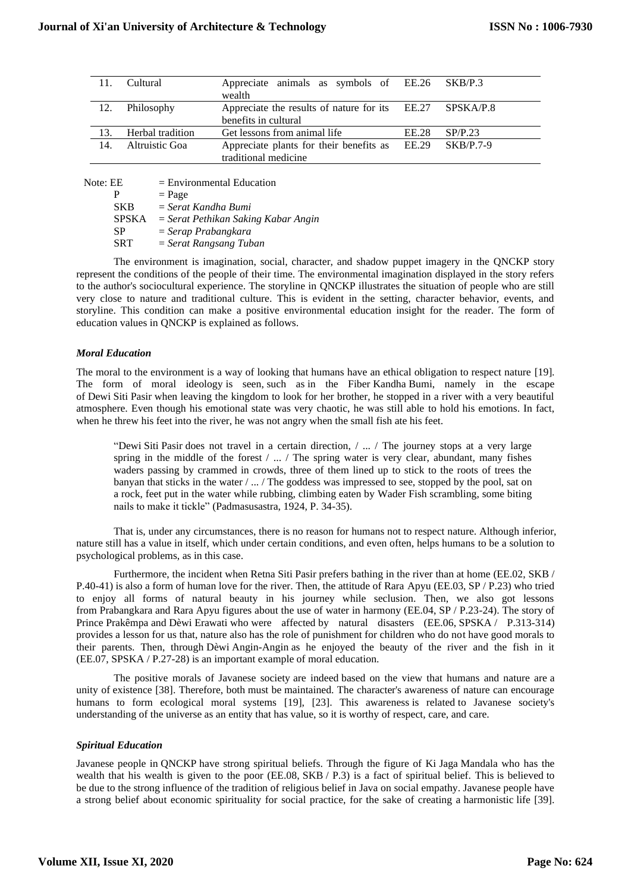| 11. | Cultural         | Appreciate animals as symbols of EE.26 SKB/P.3<br>wealth                         |       |             |
|-----|------------------|----------------------------------------------------------------------------------|-------|-------------|
| 12. | Philosophy       | Appreciate the results of nature for its EE.27 SPSKA/P.8<br>benefits in cultural |       |             |
|     |                  |                                                                                  |       |             |
| 13. | Herbal tradition | Get lessons from animal life                                                     | EE.28 | SP/P.23     |
| 14. | Altruistic Goa   | Appreciate plants for their benefits as EE.29<br>traditional medicine            |       | $SKB/P.7-9$ |

Note:  $\overline{EE}$  = Environmental Education

 $\begin{array}{rcl} P & = \text{Page} \\ \text{SKB} & = \text{Serat} \end{array}$ 

 $=$  *Serat Kandha Bumi* 

SPSKA = *Serat Pethikan Saking Kabar Angin*

SP = *Serap Prabangkara*

SRT = *Serat Rangsang Tuban*

The environment is imagination, social, character, and shadow puppet imagery in the QNCKP story represent the conditions of the people of their time. The environmental imagination displayed in the story refers to the author's sociocultural experience. The storyline in QNCKP illustrates the situation of people who are still very close to nature and traditional culture. This is evident in the setting, character behavior, events, and storyline. This condition can make a positive environmental education insight for the reader. The form of education values in QNCKP is explained as follows.

# *Moral Education*

The moral to the environment is a way of looking that humans have an ethical obligation to respect nature [19]. The form of moral ideology is seen, such as in the Fiber Kandha Bumi, namely in the escape of Dewi Siti Pasir when leaving the kingdom to look for her brother, he stopped in a river with a very beautiful atmosphere. Even though his emotional state was very chaotic, he was still able to hold his emotions. In fact, when he threw his feet into the river, he was not angry when the small fish ate his feet.

"Dewi Siti Pasir does not travel in a certain direction, / ... / The journey stops at a very large spring in the middle of the forest  $/ \ldots /$  The spring water is very clear, abundant, many fishes waders passing by crammed in crowds, three of them lined up to stick to the roots of trees the banyan that sticks in the water / ... / The goddess was impressed to see, stopped by the pool, sat on a rock, feet put in the water while rubbing, climbing eaten by Wader Fish scrambling, some biting nails to make it tickle" (Padmasusastra, 1924, P. 34-35).

That is, under any circumstances, there is no reason for humans not to respect nature. Although inferior, nature still has a value in itself, which under certain conditions, and even often, helps humans to be a solution to psychological problems, as in this case.

Furthermore, the incident when Retna Siti Pasir prefers bathing in the river than at home (EE.02, SKB / P.40-41) is also a form of human love for the river. Then, the attitude of Rara Apyu (EE.03, SP / P.23) who tried to enjoy all forms of natural beauty in his journey while seclusion. Then, we also got lessons from Prabangkara and Rara Apyu figures about the use of water in harmony (EE.04, SP / P.23-24). The story of Prince Prakêmpa and Dèwi Erawati who were affected by natural disasters (EE.06, SPSKA / P.313-314) provides a lesson for us that, nature also has the role of punishment for children who do not have good morals to their parents. Then, through Dèwi Angin-Angin as he enjoyed the beauty of the river and the fish in it (EE.07, SPSKA / P.27-28) is an important example of moral education.

The positive morals of Javanese society are indeed based on the view that humans and nature are a unity of existence [38]. Therefore, both must be maintained. The character's awareness of nature can encourage humans to form ecological moral systems [19], [23]. This awareness is related to Javanese society's understanding of the universe as an entity that has value, so it is worthy of respect, care, and care.

# *Spiritual Education*

Javanese people in QNCKP have strong spiritual beliefs. Through the figure of Ki Jaga Mandala who has the wealth that his wealth is given to the poor (EE.08, SKB / P.3) is a fact of spiritual belief. This is believed to be due to the strong influence of the tradition of religious belief in Java on social empathy. Javanese people have a strong belief about economic spirituality for social practice, for the sake of creating a harmonistic life [39].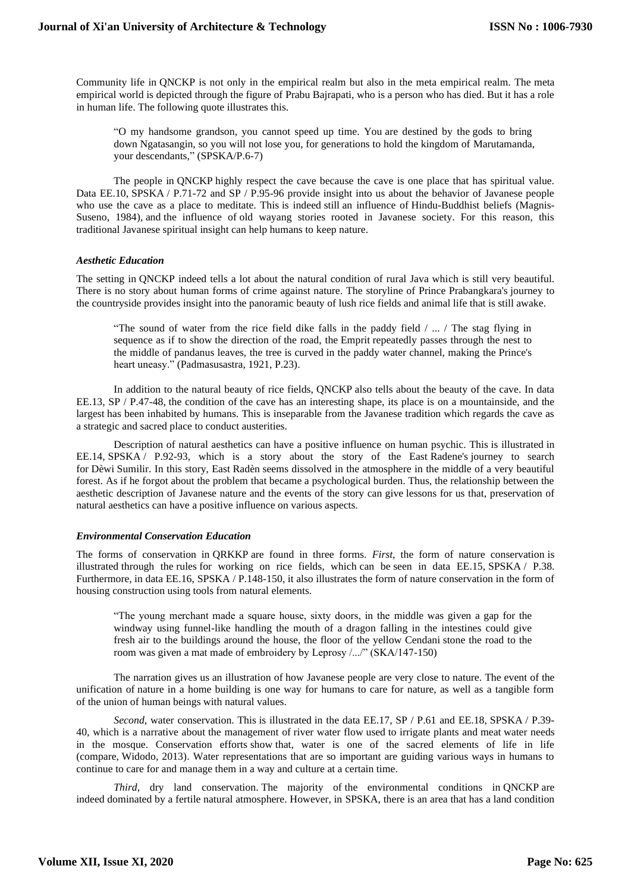Community life in QNCKP is not only in the empirical realm but also in the meta empirical realm. The meta empirical world is depicted through the figure of Prabu Bajrapati, who is a person who has died. But it has a role in human life. The following quote illustrates this.

"O my handsome grandson, you cannot speed up time. You are destined by the gods to bring down Ngatasangin, so you will not lose you, for generations to hold the kingdom of Marutamanda, your descendants," (SPSKA/P.6-7)

The people in QNCKP highly respect the cave because the cave is one place that has spiritual value. Data EE.10, SPSKA / P.71-72 and SP / P.95-96 provide insight into us about the behavior of Javanese people who use the cave as a place to meditate. This is indeed still an influence of Hindu-Buddhist beliefs (Magnis-Suseno, 1984), and the influence of old wayang stories rooted in Javanese society. For this reason, this traditional Javanese spiritual insight can help humans to keep nature.

## *Aesthetic Education*

The setting in QNCKP indeed tells a lot about the natural condition of rural Java which is still very beautiful. There is no story about human forms of crime against nature. The storyline of Prince Prabangkara's journey to the countryside provides insight into the panoramic beauty of lush rice fields and animal life that is still awake.

"The sound of water from the rice field dike falls in the paddy field / ... / The stag flying in sequence as if to show the direction of the road, the Emprit repeatedly passes through the nest to the middle of pandanus leaves, the tree is curved in the paddy water channel, making the Prince's heart uneasy." (Padmasusastra, 1921, P.23).

In addition to the natural beauty of rice fields, QNCKP also tells about the beauty of the cave. In data EE.13, SP / P.47-48, the condition of the cave has an interesting shape, its place is on a mountainside, and the largest has been inhabited by humans. This is inseparable from the Javanese tradition which regards the cave as a strategic and sacred place to conduct austerities.

Description of natural aesthetics can have a positive influence on human psychic. This is illustrated in EE.14, SPSKA / P.92-93, which is a story about the story of the East Radene's journey to search for Dèwi Sumilir. In this story, East Radèn seems dissolved in the atmosphere in the middle of a very beautiful forest. As if he forgot about the problem that became a psychological burden. Thus, the relationship between the aesthetic description of Javanese nature and the events of the story can give lessons for us that, preservation of natural aesthetics can have a positive influence on various aspects.

# *Environmental Conservation Education*

The forms of conservation in QRKKP are found in three forms. *First*, the form of nature conservation is illustrated through the rules for working on rice fields, which can be seen in data EE.15, SPSKA / P.38. Furthermore, in data EE.16, SPSKA / P.148-150, it also illustrates the form of nature conservation in the form of housing construction using tools from natural elements.

"The young merchant made a square house, sixty doors, in the middle was given a gap for the windway using funnel-like handling the mouth of a dragon falling in the intestines could give fresh air to the buildings around the house, the floor of the yellow Cendani stone the road to the room was given a mat made of embroidery by Leprosy /.../" (SKA/147-150)

The narration gives us an illustration of how Javanese people are very close to nature. The event of the unification of nature in a home building is one way for humans to care for nature, as well as a tangible form of the union of human beings with natural values.

*Second*, water conservation. This is illustrated in the data EE.17, SP / P.61 and EE.18, SPSKA / P.39- 40, which is a narrative about the management of river water flow used to irrigate plants and meat water needs in the mosque. Conservation efforts show that, water is one of the sacred elements of life in life (compare, Widodo, 2013). Water representations that are so important are guiding various ways in humans to continue to care for and manage them in a way and culture at a certain time.

*Third*, dry land conservation. The majority of the environmental conditions in QNCKP are indeed dominated by a fertile natural atmosphere. However, in SPSKA, there is an area that has a land condition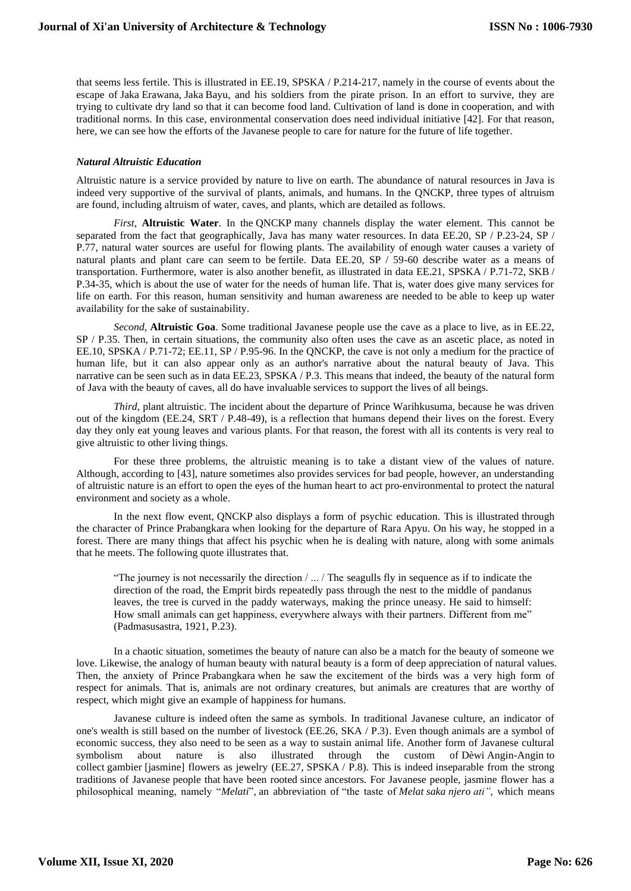that seems less fertile. This is illustrated in EE.19, SPSKA / P.214-217, namely in the course of events about the escape of Jaka Erawana, Jaka Bayu, and his soldiers from the pirate prison. In an effort to survive, they are trying to cultivate dry land so that it can become food land. Cultivation of land is done in cooperation, and with traditional norms. In this case, environmental conservation does need individual initiative [42]. For that reason, here, we can see how the efforts of the Javanese people to care for nature for the future of life together.

## *Natural Altruistic Education*

Altruistic nature is a service provided by nature to live on earth. The abundance of natural resources in Java is indeed very supportive of the survival of plants, animals, and humans. In the QNCKP, three types of altruism are found, including altruism of water, caves, and plants, which are detailed as follows.

*First*, **Altruistic Water**. In the QNCKP many channels display the water element. This cannot be separated from the fact that geographically, Java has many water resources. In data EE.20, SP / P.23-24, SP / P.77, natural water sources are useful for flowing plants. The availability of enough water causes a variety of natural plants and plant care can seem to be fertile. Data EE.20, SP / 59-60 describe water as a means of transportation. Furthermore, water is also another benefit, as illustrated in data EE.21, SPSKA / P.71-72, SKB / P.34-35, which is about the use of water for the needs of human life. That is, water does give many services for life on earth. For this reason, human sensitivity and human awareness are needed to be able to keep up water availability for the sake of sustainability.

*Second*, **Altruistic Goa**. Some traditional Javanese people use the cave as a place to live, as in EE.22, SP / P.35. Then, in certain situations, the community also often uses the cave as an ascetic place, as noted in EE.10, SPSKA / P.71-72; EE.11, SP / P.95-96. In the QNCKP, the cave is not only a medium for the practice of human life, but it can also appear only as an author's narrative about the natural beauty of Java. This narrative can be seen such as in data EE.23, SPSKA / P.3. This means that indeed, the beauty of the natural form of Java with the beauty of caves, all do have invaluable services to support the lives of all beings.

*Third*, plant altruistic. The incident about the departure of Prince Warihkusuma, because he was driven out of the kingdom (EE.24, SRT / P.48-49), is a reflection that humans depend their lives on the forest. Every day they only eat young leaves and various plants. For that reason, the forest with all its contents is very real to give altruistic to other living things.

For these three problems, the altruistic meaning is to take a distant view of the values of nature. Although, according to [43], nature sometimes also provides services for bad people, however, an understanding of altruistic nature is an effort to open the eyes of the human heart to act pro-environmental to protect the natural environment and society as a whole.

In the next flow event, QNCKP also displays a form of psychic education. This is illustrated through the character of Prince Prabangkara when looking for the departure of Rara Apyu. On his way, he stopped in a forest. There are many things that affect his psychic when he is dealing with nature, along with some animals that he meets. The following quote illustrates that.

"The journey is not necessarily the direction / ... / The seagulls fly in sequence as if to indicate the direction of the road, the Emprit birds repeatedly pass through the nest to the middle of pandanus leaves, the tree is curved in the paddy waterways, making the prince uneasy. He said to himself: How small animals can get happiness, everywhere always with their partners. Different from me" (Padmasusastra, 1921, P.23).

In a chaotic situation, sometimes the beauty of nature can also be a match for the beauty of someone we love. Likewise, the analogy of human beauty with natural beauty is a form of deep appreciation of natural values. Then, the anxiety of Prince Prabangkara when he saw the excitement of the birds was a very high form of respect for animals. That is, animals are not ordinary creatures, but animals are creatures that are worthy of respect, which might give an example of happiness for humans.

Javanese culture is indeed often the same as symbols. In traditional Javanese culture, an indicator of one's wealth is still based on the number of livestock (EE.26, SKA / P.3). Even though animals are a symbol of economic success, they also need to be seen as a way to sustain animal life. Another form of Javanese cultural symbolism about nature is also illustrated through the custom of Dèwi Angin-Angin to collect gambier [jasmine] flowers as jewelry (EE.27, SPSKA / P.8). This is indeed inseparable from the strong traditions of Javanese people that have been rooted since ancestors. For Javanese people, jasmine flower has a philosophical meaning, namely "*Melati*", an abbreviation of "the taste of *Melat saka njero ati"*, which means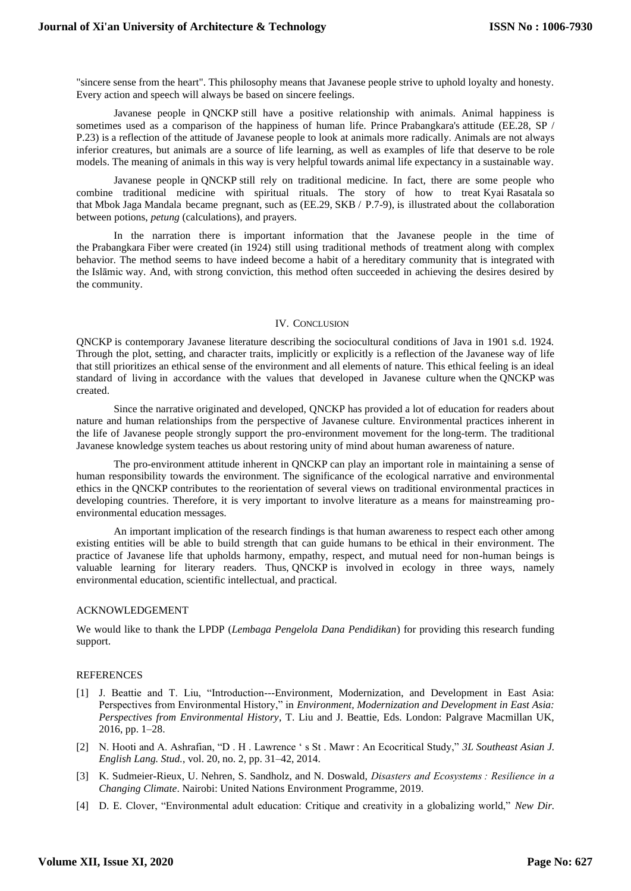"sincere sense from the heart". This philosophy means that Javanese people strive to uphold loyalty and honesty. Every action and speech will always be based on sincere feelings.

Javanese people in QNCKP still have a positive relationship with animals. Animal happiness is sometimes used as a comparison of the happiness of human life. Prince Prabangkara's attitude (EE.28, SP / P.23) is a reflection of the attitude of Javanese people to look at animals more radically. Animals are not always inferior creatures, but animals are a source of life learning, as well as examples of life that deserve to be role models. The meaning of animals in this way is very helpful towards animal life expectancy in a sustainable way.

Javanese people in QNCKP still rely on traditional medicine. In fact, there are some people who combine traditional medicine with spiritual rituals. The story of how to treat Kyai Rasatala so that Mbok Jaga Mandala became pregnant, such as (EE.29, SKB / P.7-9), is illustrated about the collaboration between potions, *petung* (calculations), and prayers.

In the narration there is important information that the Javanese people in the time of the Prabangkara Fiber were created (in 1924) still using traditional methods of treatment along with complex behavior. The method seems to have indeed become a habit of a hereditary community that is integrated with the Islāmic way. And, with strong conviction, this method often succeeded in achieving the desires desired by the community.

#### IV. CONCLUSION

QNCKP is contemporary Javanese literature describing the sociocultural conditions of Java in 1901 s.d. 1924. Through the plot, setting, and character traits, implicitly or explicitly is a reflection of the Javanese way of life that still prioritizes an ethical sense of the environment and all elements of nature. This ethical feeling is an ideal standard of living in accordance with the values that developed in Javanese culture when the QNCKP was created.

Since the narrative originated and developed, QNCKP has provided a lot of education for readers about nature and human relationships from the perspective of Javanese culture. Environmental practices inherent in the life of Javanese people strongly support the pro-environment movement for the long-term. The traditional Javanese knowledge system teaches us about restoring unity of mind about human awareness of nature.

The pro-environment attitude inherent in QNCKP can play an important role in maintaining a sense of human responsibility towards the environment. The significance of the ecological narrative and environmental ethics in the QNCKP contributes to the reorientation of several views on traditional environmental practices in developing countries. Therefore, it is very important to involve literature as a means for mainstreaming proenvironmental education messages.

An important implication of the research findings is that human awareness to respect each other among existing entities will be able to build strength that can guide humans to be ethical in their environment. The practice of Javanese life that upholds harmony, empathy, respect, and mutual need for non-human beings is valuable learning for literary readers. Thus, QNCKP is involved in ecology in three ways, namely environmental education, scientific intellectual, and practical.

### ACKNOWLEDGEMENT

We would like to thank the LPDP (*Lembaga Pengelola Dana Pendidikan*) for providing this research funding support.

## REFERENCES

- [1] J. Beattie and T. Liu, "Introduction---Environment, Modernization, and Development in East Asia: Perspectives from Environmental History," in *Environment, Modernization and Development in East Asia: Perspectives from Environmental History*, T. Liu and J. Beattie, Eds. London: Palgrave Macmillan UK, 2016, pp. 1–28.
- [2] N. Hooti and A. Ashrafian, "D . H . Lawrence ' s St . Mawr : An Ecocritical Study," *3L Southeast Asian J. English Lang. Stud.*, vol. 20, no. 2, pp. 31–42, 2014.
- [3] K. Sudmeier-Rieux, U. Nehren, S. Sandholz, and N. Doswald, *Disasters and Ecosystems : Resilience in a Changing Climate*. Nairobi: United Nations Environment Programme, 2019.
- [4] D. E. Clover, "Environmental adult education: Critique and creativity in a globalizing world," *New Dir.*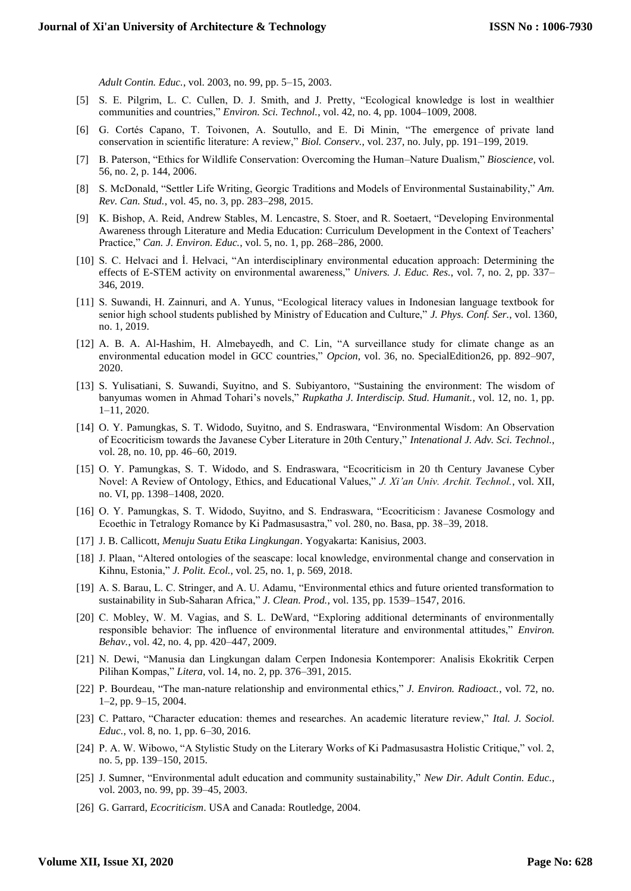*Adult Contin. Educ.*, vol. 2003, no. 99, pp. 5–15, 2003.

- [5] S. E. Pilgrim, L. C. Cullen, D. J. Smith, and J. Pretty, "Ecological knowledge is lost in wealthier communities and countries," *Environ. Sci. Technol.*, vol. 42, no. 4, pp. 1004–1009, 2008.
- [6] G. Cortés Capano, T. Toivonen, A. Soutullo, and E. Di Minin, "The emergence of private land conservation in scientific literature: A review," *Biol. Conserv.*, vol. 237, no. July, pp. 191–199, 2019.
- [7] B. Paterson, "Ethics for Wildlife Conservation: Overcoming the Human–Nature Dualism," *Bioscience*, vol. 56, no. 2, p. 144, 2006.
- [8] S. McDonald, "Settler Life Writing, Georgic Traditions and Models of Environmental Sustainability," *Am. Rev. Can. Stud.*, vol. 45, no. 3, pp. 283–298, 2015.
- [9] K. Bishop, A. Reid, Andrew Stables, M. Lencastre, S. Stoer, and R. Soetaert, "Developing Environmental Awareness through Literature and Media Education: Curriculum Development in the Context of Teachers' Practice," *Can. J. Environ. Educ.*, vol. 5, no. 1, pp. 268–286, 2000.
- [10] S. C. Helvaci and İ. Helvaci, "An interdisciplinary environmental education approach: Determining the effects of E-STEM activity on environmental awareness," *Univers. J. Educ. Res.*, vol. 7, no. 2, pp. 337– 346, 2019.
- [11] S. Suwandi, H. Zainnuri, and A. Yunus, "Ecological literacy values in Indonesian language textbook for senior high school students published by Ministry of Education and Culture," *J. Phys. Conf. Ser.*, vol. 1360, no. 1, 2019.
- [12] A. B. A. Al-Hashim, H. Almebayedh, and C. Lin, "A surveillance study for climate change as an environmental education model in GCC countries," *Opcion*, vol. 36, no. SpecialEdition26, pp. 892–907, 2020.
- [13] S. Yulisatiani, S. Suwandi, Suyitno, and S. Subiyantoro, "Sustaining the environment: The wisdom of banyumas women in Ahmad Tohari's novels," *Rupkatha J. Interdiscip. Stud. Humanit.*, vol. 12, no. 1, pp. 1–11, 2020.
- [14] O. Y. Pamungkas, S. T. Widodo, Suyitno, and S. Endraswara, "Environmental Wisdom: An Observation of Ecocriticism towards the Javanese Cyber Literature in 20th Century," *Intenational J. Adv. Sci. Technol.*, vol. 28, no. 10, pp. 46–60, 2019.
- [15] O. Y. Pamungkas, S. T. Widodo, and S. Endraswara, "Ecocriticism in 20 th Century Javanese Cyber Novel: A Review of Ontology, Ethics, and Educational Values," *J. Xi'an Univ. Archit. Technol.*, vol. XII, no. VI, pp. 1398–1408, 2020.
- [16] O. Y. Pamungkas, S. T. Widodo, Suyitno, and S. Endraswara, "Ecocriticism : Javanese Cosmology and Ecoethic in Tetralogy Romance by Ki Padmasusastra," vol. 280, no. Basa, pp. 38–39, 2018.
- [17] J. B. Callicott, *Menuju Suatu Etika Lingkungan*. Yogyakarta: Kanisius, 2003.
- [18] J. Plaan, "Altered ontologies of the seascape: local knowledge, environmental change and conservation in Kihnu, Estonia," *J. Polit. Ecol.*, vol. 25, no. 1, p. 569, 2018.
- [19] A. S. Barau, L. C. Stringer, and A. U. Adamu, "Environmental ethics and future oriented transformation to sustainability in Sub-Saharan Africa," *J. Clean. Prod.*, vol. 135, pp. 1539–1547, 2016.
- [20] C. Mobley, W. M. Vagias, and S. L. DeWard, "Exploring additional determinants of environmentally responsible behavior: The influence of environmental literature and environmental attitudes," *Environ. Behav.*, vol. 42, no. 4, pp. 420–447, 2009.
- [21] N. Dewi, "Manusia dan Lingkungan dalam Cerpen Indonesia Kontemporer: Analisis Ekokritik Cerpen Pilihan Kompas," *Litera*, vol. 14, no. 2, pp. 376–391, 2015.
- [22] P. Bourdeau, "The man-nature relationship and environmental ethics," *J. Environ. Radioact.*, vol. 72, no. 1–2, pp. 9–15, 2004.
- [23] C. Pattaro, "Character education: themes and researches. An academic literature review," *Ital. J. Sociol. Educ.*, vol. 8, no. 1, pp. 6–30, 2016.
- [24] P. A. W. Wibowo, "A Stylistic Study on the Literary Works of Ki Padmasusastra Holistic Critique," vol. 2, no. 5, pp. 139–150, 2015.
- [25] J. Sumner, "Environmental adult education and community sustainability," *New Dir. Adult Contin. Educ.*, vol. 2003, no. 99, pp. 39–45, 2003.
- [26] G. Garrard, *Ecocriticism*. USA and Canada: Routledge, 2004.